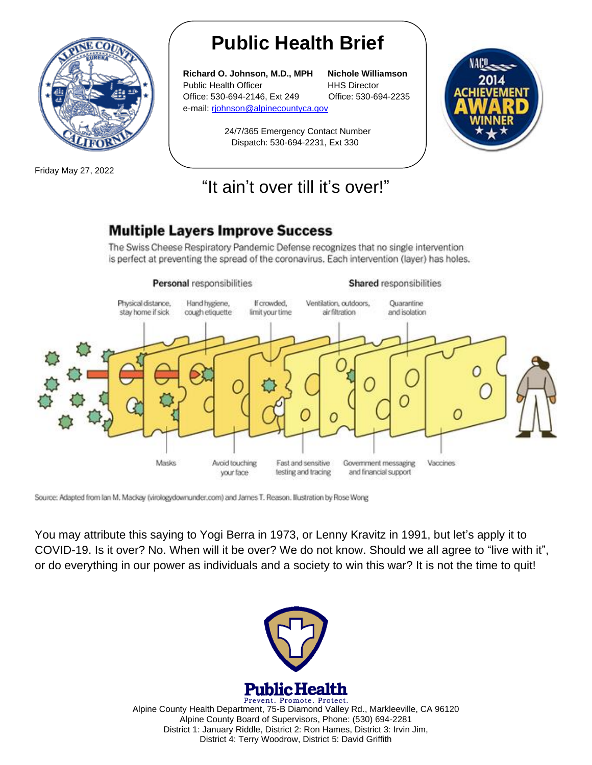

Friday May 27, 2022

# **Public Health Brief**

**Richard O. Johnson, M.D., MPH Nichole Williamson** Public Health Officer **HHS Director** Office: 530-694-2146, Ext 249 Office: 530-694-2235 e-mail: rjohnson@alpinecountyca.gov

> 24/7/365 Emergency Contact Number Dispatch: 530-694-2231, Ext 330



### "It ain't over till it's over!"

#### **Multiple Layers Improve Success**

The Swiss Cheese Respiratory Pandemic Defense recognizes that no single intervention is perfect at preventing the spread of the coronavirus. Each intervention (layer) has holes.



Source: Adapted from lan M, Mackay (virologydownunder.com) and James T. Reason. Illustration by Rose Wong

You may attribute this saying to Yogi Berra in 1973, or Lenny Kravitz in 1991, but let's apply it to COVID-19. Is it over? No. When will it be over? We do not know. Should we all agree to "live with it", or do everything in our power as individuals and a society to win this war? It is not the time to quit!



Prevent. Promote. Protect. Alpine County Health Department, 75-B Diamond Valley Rd., Markleeville, CA 96120 Alpine County Board of Supervisors, Phone: (530) 694-2281 District 1: January Riddle, District 2: Ron Hames, District 3: Irvin Jim, District 4: Terry Woodrow, District 5: David Griffith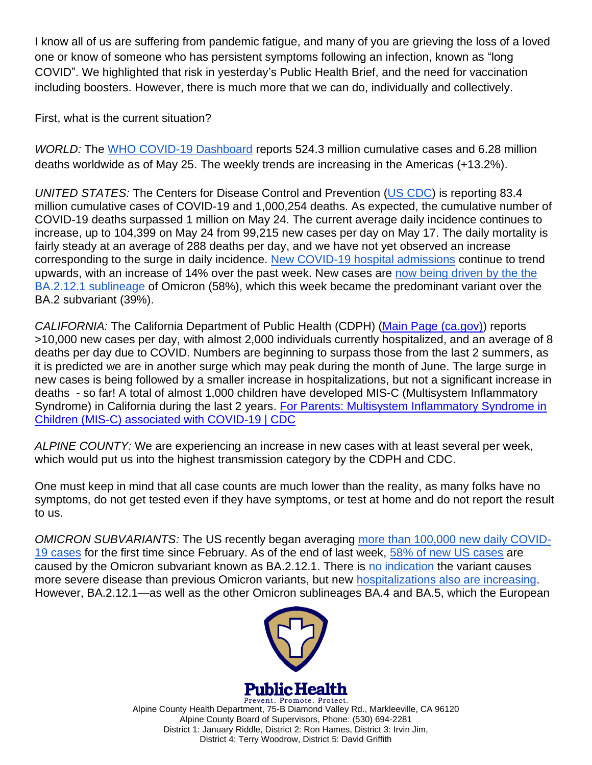I know all of us are suffering from pandemic fatigue, and many of you are grieving the loss of a loved one or know of someone who has persistent symptoms following an infection, known as "long COVID". We highlighted that risk in yesterday's Public Health Brief, and the need for vaccination including boosters. However, there is much more that we can do, individually and collectively.

First, what is the current situation?

*WORLD:* The [WHO COVID-19 Dashboard](https://r20.rs6.net/tn.jsp?f=001xz6RjQBuE7zyBsy_n9wShqx_GbId6kIkL-5G3fgByzxwzhb0n2aUqfj4nQChOW0e_MGDKpsC3hsfFVX5Bm2zlUMaGEWjPv9RakXjQ7-991ii9IKBfdNV2fNIkqpHlVcWmcT_zf3DtlH0pd48xTREEA==&c=zh5-IshAkddJp2ZPn7KagowJYbWce7aYe3FcS1lVkkFyOiZiI3iBDg==&ch=-JbZ00v1elo_HxmcB0Tjyra8wz0hdj7ytGdseOTkA59rUgijRONfTA==) reports 524.3 million cumulative cases and 6.28 million deaths worldwide as of May 25. The weekly trends are increasing in the Americas (+13.2%).

*UNITED STATES:* The Centers for Disease Control and Prevention [\(US CDC\)](https://r20.rs6.net/tn.jsp?f=001xz6RjQBuE7zyBsy_n9wShqx_GbId6kIkL-5G3fgByzxwzhb0n2aUqWxXOVyQJNc40qhOLRRjCR3m18BQwS5Cma2gLM951uk8QYv-I37hHploLC13rvZo889H5Ou1vngPyRlkNsmXRJhm4I2KZHKkEB2nQGtSQif6iU2XtP9Wj1ny02kU-KTuLhDW8HsCt_eCnKJ5y1j9vig=&c=zh5-IshAkddJp2ZPn7KagowJYbWce7aYe3FcS1lVkkFyOiZiI3iBDg==&ch=-JbZ00v1elo_HxmcB0Tjyra8wz0hdj7ytGdseOTkA59rUgijRONfTA==) is reporting 83.4 million cumulative cases of COVID-19 and 1,000,254 deaths. As expected, the cumulative number of COVID-19 deaths surpassed 1 million on May 24. The current average daily incidence continues to increase, up to 104,399 on May 24 from 99,215 new cases per day on May 17. The daily mortality is fairly steady at an average of 288 deaths per day, and we have not yet observed an increase corresponding to the surge in daily incidence. [New COVID-19 hospital admissions](https://r20.rs6.net/tn.jsp?f=001xz6RjQBuE7zyBsy_n9wShqx_GbId6kIkL-5G3fgByzxwzhb0n2aUqWVB3LA1eKBsktjQ429LoKgA-hH4PEkhZwOmXcSmNtRhF8_BJLELmXra-Hg33NtUNjaL3T6utlOQf-5A1wFPhavU8uFwxFyuHsIcgT4nYdy3grOx3cF7TM5f9wNgh74CehBGQJ5tbNkkKPV8ob-0G0Q=&c=zh5-IshAkddJp2ZPn7KagowJYbWce7aYe3FcS1lVkkFyOiZiI3iBDg==&ch=-JbZ00v1elo_HxmcB0Tjyra8wz0hdj7ytGdseOTkA59rUgijRONfTA==) continue to trend upwards, with an increase of 14% over the past week. New cases are [now being driven by the the](https://r20.rs6.net/tn.jsp?f=001xz6RjQBuE7zyBsy_n9wShqx_GbId6kIkL-5G3fgByzxwzhb0n2aUqR65_eUJ3GRSvrruEZOAVSMj7zKEtzAnK63AZgC4RwDGKoXdpy_hHvF1bQ65OSXsK2icXhwo7WA_XVdgJGCo43J2BQxSLbgaHHgcUNUIjE6gaSVpoFgHFSZ9nZ1z3DgzW8sBn_ZL87DTp8qyYDdgs7Q=&c=zh5-IshAkddJp2ZPn7KagowJYbWce7aYe3FcS1lVkkFyOiZiI3iBDg==&ch=-JbZ00v1elo_HxmcB0Tjyra8wz0hdj7ytGdseOTkA59rUgijRONfTA==)  [BA.2.12.1 sublineage](https://r20.rs6.net/tn.jsp?f=001xz6RjQBuE7zyBsy_n9wShqx_GbId6kIkL-5G3fgByzxwzhb0n2aUqR65_eUJ3GRSvrruEZOAVSMj7zKEtzAnK63AZgC4RwDGKoXdpy_hHvF1bQ65OSXsK2icXhwo7WA_XVdgJGCo43J2BQxSLbgaHHgcUNUIjE6gaSVpoFgHFSZ9nZ1z3DgzW8sBn_ZL87DTp8qyYDdgs7Q=&c=zh5-IshAkddJp2ZPn7KagowJYbWce7aYe3FcS1lVkkFyOiZiI3iBDg==&ch=-JbZ00v1elo_HxmcB0Tjyra8wz0hdj7ytGdseOTkA59rUgijRONfTA==) of Omicron (58%), which this week became the predominant variant over the BA.2 subvariant (39%).

*CALIFORNIA:* The California Department of Public Health (CDPH) [\(Main Page \(ca.gov\)\)](https://www.cdph.ca.gov/Programs/CID/DCDC/Pages/Immunization/ncov2019.aspx) reports >10,000 new cases per day, with almost 2,000 individuals currently hospitalized, and an average of 8 deaths per day due to COVID. Numbers are beginning to surpass those from the last 2 summers, as it is predicted we are in another surge which may peak during the month of June. The large surge in new cases is being followed by a smaller increase in hospitalizations, but not a significant increase in deaths - so far! A total of almost 1,000 children have developed MIS-C (Multisystem Inflammatory Syndrome) in California during the last 2 years. [For Parents: Multisystem Inflammatory Syndrome in](https://www.cdc.gov/mis/mis-c.html)  [Children \(MIS-C\) associated with COVID-19 | CDC](https://www.cdc.gov/mis/mis-c.html)

*ALPINE COUNTY:* We are experiencing an increase in new cases with at least several per week, which would put us into the highest transmission category by the CDPH and CDC.

One must keep in mind that all case counts are much lower than the reality, as many folks have no symptoms, do not get tested even if they have symptoms, or test at home and do not report the result to us.

*OMICRON SUBVARIANTS:* The US recently began averaging [more than 100,000 new daily COVID-](https://r20.rs6.net/tn.jsp?f=001xz6RjQBuE7zyBsy_n9wShqx_GbId6kIkL-5G3fgByzxwzhb0n2aUqWxXOVyQJNc40qhOLRRjCR3m18BQwS5Cma2gLM951uk8QYv-I37hHploLC13rvZo889H5Ou1vngPyRlkNsmXRJhm4I2KZHKkEB2nQGtSQif6iU2XtP9Wj1ny02kU-KTuLhDW8HsCt_eCnKJ5y1j9vig=&c=zh5-IshAkddJp2ZPn7KagowJYbWce7aYe3FcS1lVkkFyOiZiI3iBDg==&ch=-JbZ00v1elo_HxmcB0Tjyra8wz0hdj7ytGdseOTkA59rUgijRONfTA==)[19 cases](https://r20.rs6.net/tn.jsp?f=001xz6RjQBuE7zyBsy_n9wShqx_GbId6kIkL-5G3fgByzxwzhb0n2aUqWxXOVyQJNc40qhOLRRjCR3m18BQwS5Cma2gLM951uk8QYv-I37hHploLC13rvZo889H5Ou1vngPyRlkNsmXRJhm4I2KZHKkEB2nQGtSQif6iU2XtP9Wj1ny02kU-KTuLhDW8HsCt_eCnKJ5y1j9vig=&c=zh5-IshAkddJp2ZPn7KagowJYbWce7aYe3FcS1lVkkFyOiZiI3iBDg==&ch=-JbZ00v1elo_HxmcB0Tjyra8wz0hdj7ytGdseOTkA59rUgijRONfTA==) for the first time since February. As of the end of last week, [58% of new US cases](https://r20.rs6.net/tn.jsp?f=001xz6RjQBuE7zyBsy_n9wShqx_GbId6kIkL-5G3fgByzxwzhb0n2aUqR65_eUJ3GRSvrruEZOAVSMj7zKEtzAnK63AZgC4RwDGKoXdpy_hHvF1bQ65OSXsK2icXhwo7WA_XVdgJGCo43J2BQxSLbgaHHgcUNUIjE6gaSVpoFgHFSZ9nZ1z3DgzW8sBn_ZL87DTp8qyYDdgs7Q=&c=zh5-IshAkddJp2ZPn7KagowJYbWce7aYe3FcS1lVkkFyOiZiI3iBDg==&ch=-JbZ00v1elo_HxmcB0Tjyra8wz0hdj7ytGdseOTkA59rUgijRONfTA==) are caused by the Omicron subvariant known as BA.2.12.1. There is [no indication](https://r20.rs6.net/tn.jsp?f=001xz6RjQBuE7zyBsy_n9wShqx_GbId6kIkL-5G3fgByzxwzhb0n2aUqa0_VtHxdUdkz60dY6cIzHSiP2nqjAcSfN8tICLFNgpui6rXJqkj1fIP8FELlVDBIMaO-yv2i_xS3QRvb_dsk1Ri4yGXEecYGNc57vI81DqlDcGsOKMG8TukGOS-0wd1iNLcTQBJ2fA1NyGgf7G74Zo=&c=zh5-IshAkddJp2ZPn7KagowJYbWce7aYe3FcS1lVkkFyOiZiI3iBDg==&ch=-JbZ00v1elo_HxmcB0Tjyra8wz0hdj7ytGdseOTkA59rUgijRONfTA==) the variant causes more severe disease than previous Omicron variants, but new [hospitalizations also are increasing.](https://r20.rs6.net/tn.jsp?f=001xz6RjQBuE7zyBsy_n9wShqx_GbId6kIkL-5G3fgByzxwzhb0n2aUqWVB3LA1eKBsktjQ429LoKgA-hH4PEkhZwOmXcSmNtRhF8_BJLELmXra-Hg33NtUNjaL3T6utlOQf-5A1wFPhavU8uFwxFyuHsIcgT4nYdy3grOx3cF7TM5f9wNgh74CehBGQJ5tbNkkKPV8ob-0G0Q=&c=zh5-IshAkddJp2ZPn7KagowJYbWce7aYe3FcS1lVkkFyOiZiI3iBDg==&ch=-JbZ00v1elo_HxmcB0Tjyra8wz0hdj7ytGdseOTkA59rUgijRONfTA==) However, BA.2.12.1—as well as the other Omicron sublineages BA.4 and BA.5, which the European



**Public Health** 

Prevent. Promote. Protect. Alpine County Health Department, 75-B Diamond Valley Rd., Markleeville, CA 96120 Alpine County Board of Supervisors, Phone: (530) 694-2281 District 1: January Riddle, District 2: Ron Hames, District 3: Irvin Jim, District 4: Terry Woodrow, District 5: David Griffith